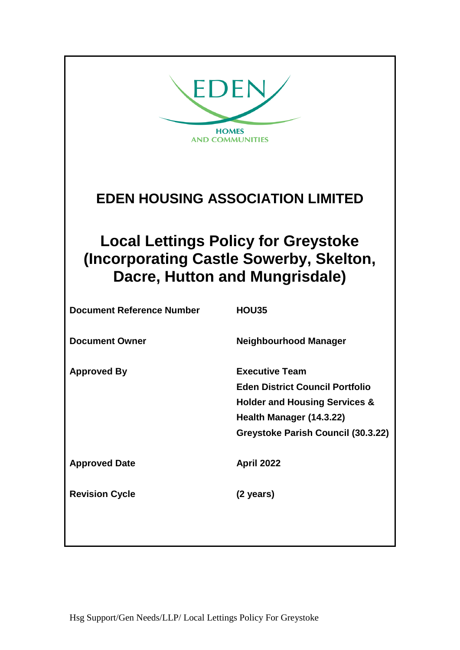| EDEN<br><b>HOMES</b><br><b>AND COMMUNITIES</b>                                                                          |                                                                                                                                                                               |  |  |
|-------------------------------------------------------------------------------------------------------------------------|-------------------------------------------------------------------------------------------------------------------------------------------------------------------------------|--|--|
| <b>EDEN HOUSING ASSOCIATION LIMITED</b>                                                                                 |                                                                                                                                                                               |  |  |
| <b>Local Lettings Policy for Greystoke</b><br>(Incorporating Castle Sowerby, Skelton,<br>Dacre, Hutton and Mungrisdale) |                                                                                                                                                                               |  |  |
| <b>Document Reference Number</b>                                                                                        | <b>HOU35</b>                                                                                                                                                                  |  |  |
| <b>Document Owner</b>                                                                                                   | <b>Neighbourhood Manager</b>                                                                                                                                                  |  |  |
| <b>Approved By</b>                                                                                                      | <b>Executive Team</b><br><b>Eden District Council Portfolio</b><br><b>Holder and Housing Services &amp;</b><br>Health Manager (14.3.22)<br>Greystoke Parish Council (30.3.22) |  |  |
| <b>Approved Date</b>                                                                                                    | April 2022                                                                                                                                                                    |  |  |
| <b>Revision Cycle</b>                                                                                                   | (2 years)                                                                                                                                                                     |  |  |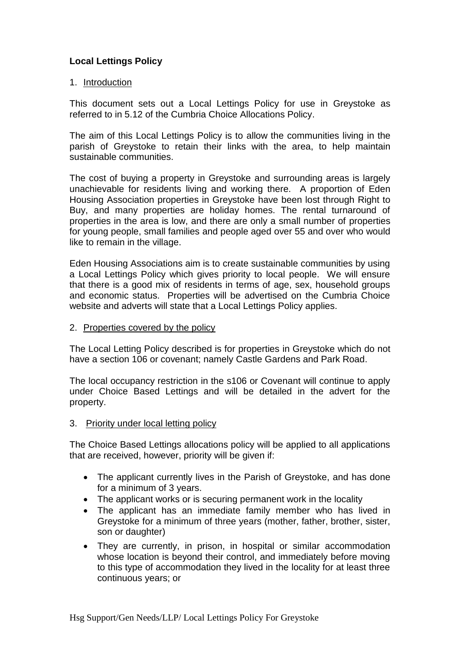# **Local Lettings Policy**

### 1. Introduction

This document sets out a Local Lettings Policy for use in Greystoke as referred to in 5.12 of the Cumbria Choice Allocations Policy.

The aim of this Local Lettings Policy is to allow the communities living in the parish of Greystoke to retain their links with the area, to help maintain sustainable communities.

The cost of buying a property in Greystoke and surrounding areas is largely unachievable for residents living and working there. A proportion of Eden Housing Association properties in Greystoke have been lost through Right to Buy, and many properties are holiday homes. The rental turnaround of properties in the area is low, and there are only a small number of properties for young people, small families and people aged over 55 and over who would like to remain in the village.

Eden Housing Associations aim is to create sustainable communities by using a Local Lettings Policy which gives priority to local people. We will ensure that there is a good mix of residents in terms of age, sex, household groups and economic status. Properties will be advertised on the Cumbria Choice website and adverts will state that a Local Lettings Policy applies.

#### 2. Properties covered by the policy

The Local Letting Policy described is for properties in Greystoke which do not have a section 106 or covenant; namely Castle Gardens and Park Road.

The local occupancy restriction in the s106 or Covenant will continue to apply under Choice Based Lettings and will be detailed in the advert for the property.

#### 3. Priority under local letting policy

The Choice Based Lettings allocations policy will be applied to all applications that are received, however, priority will be given if:

- The applicant currently lives in the Parish of Greystoke, and has done for a minimum of 3 years.
- The applicant works or is securing permanent work in the locality
- The applicant has an immediate family member who has lived in Greystoke for a minimum of three years (mother, father, brother, sister, son or daughter)
- They are currently, in prison, in hospital or similar accommodation whose location is beyond their control, and immediately before moving to this type of accommodation they lived in the locality for at least three continuous years; or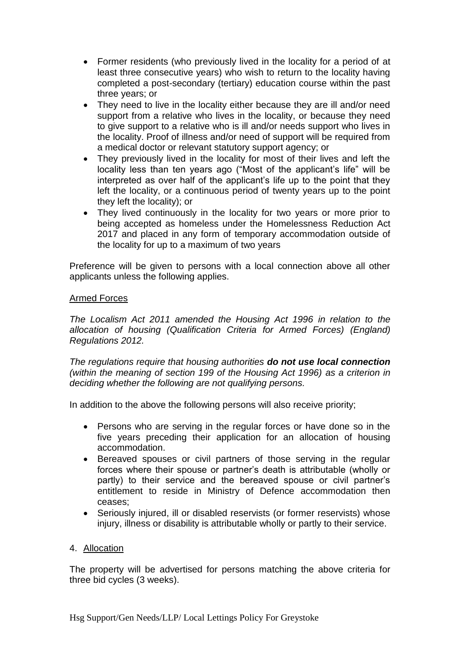- Former residents (who previously lived in the locality for a period of at least three consecutive years) who wish to return to the locality having completed a post-secondary (tertiary) education course within the past three years; or
- They need to live in the locality either because they are ill and/or need support from a relative who lives in the locality, or because they need to give support to a relative who is ill and/or needs support who lives in the locality. Proof of illness and/or need of support will be required from a medical doctor or relevant statutory support agency; or
- They previously lived in the locality for most of their lives and left the locality less than ten years ago ("Most of the applicant's life" will be interpreted as over half of the applicant's life up to the point that they left the locality, or a continuous period of twenty years up to the point they left the locality); or
- They lived continuously in the locality for two years or more prior to being accepted as homeless under the Homelessness Reduction Act 2017 and placed in any form of temporary accommodation outside of the locality for up to a maximum of two years

Preference will be given to persons with a local connection above all other applicants unless the following applies.

### Armed Forces

*The Localism Act 2011 amended the Housing Act 1996 in relation to the allocation of housing (Qualification Criteria for Armed Forces) (England) Regulations 2012.*

*The regulations require that housing authorities do not use local connection (within the meaning of section 199 of the Housing Act 1996) as a criterion in deciding whether the following are not qualifying persons.* 

In addition to the above the following persons will also receive priority;

- Persons who are serving in the regular forces or have done so in the five years preceding their application for an allocation of housing accommodation.
- Bereaved spouses or civil partners of those serving in the regular forces where their spouse or partner's death is attributable (wholly or partly) to their service and the bereaved spouse or civil partner's entitlement to reside in Ministry of Defence accommodation then ceases;
- Seriously injured, ill or disabled reservists (or former reservists) whose injury, illness or disability is attributable wholly or partly to their service.

#### 4. Allocation

The property will be advertised for persons matching the above criteria for three bid cycles (3 weeks).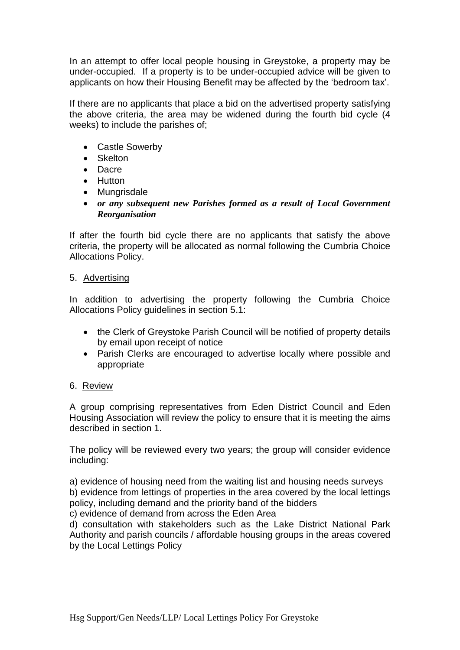In an attempt to offer local people housing in Greystoke, a property may be under-occupied. If a property is to be under-occupied advice will be given to applicants on how their Housing Benefit may be affected by the 'bedroom tax'.

If there are no applicants that place a bid on the advertised property satisfying the above criteria, the area may be widened during the fourth bid cycle (4 weeks) to include the parishes of;

- Castle Sowerby
- Skelton
- Dacre
- Hutton
- Mungrisdale
- *or any subsequent new Parishes formed as a result of Local Government Reorganisation*

If after the fourth bid cycle there are no applicants that satisfy the above criteria, the property will be allocated as normal following the Cumbria Choice Allocations Policy.

### 5. Advertising

In addition to advertising the property following the Cumbria Choice Allocations Policy guidelines in section 5.1:

- the Clerk of Greystoke Parish Council will be notified of property details by email upon receipt of notice
- Parish Clerks are encouraged to advertise locally where possible and appropriate

### 6. Review

A group comprising representatives from Eden District Council and Eden Housing Association will review the policy to ensure that it is meeting the aims described in section 1.

The policy will be reviewed every two years; the group will consider evidence including:

a) evidence of housing need from the waiting list and housing needs surveys b) evidence from lettings of properties in the area covered by the local lettings policy, including demand and the priority band of the bidders

c) evidence of demand from across the Eden Area

d) consultation with stakeholders such as the Lake District National Park Authority and parish councils / affordable housing groups in the areas covered by the Local Lettings Policy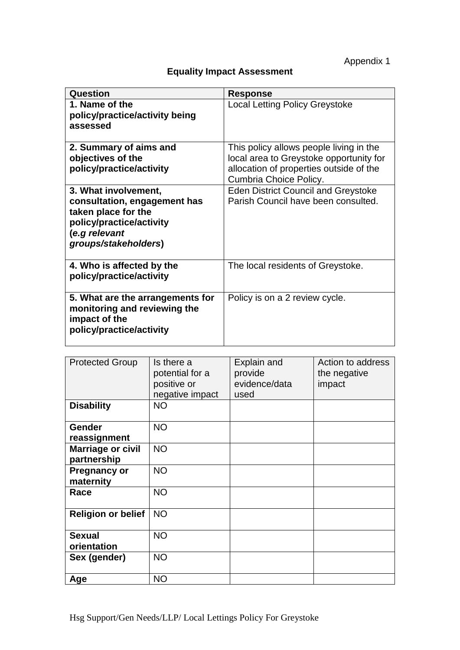Appendix 1

| счиалту ппраот доосооптопт                                                                                                                       |                                                                                                                                                         |  |  |
|--------------------------------------------------------------------------------------------------------------------------------------------------|---------------------------------------------------------------------------------------------------------------------------------------------------------|--|--|
| <b>Question</b>                                                                                                                                  | <b>Response</b>                                                                                                                                         |  |  |
| 1. Name of the<br>policy/practice/activity being<br>assessed                                                                                     | <b>Local Letting Policy Greystoke</b>                                                                                                                   |  |  |
| 2. Summary of aims and<br>objectives of the<br>policy/practice/activity                                                                          | This policy allows people living in the<br>local area to Greystoke opportunity for<br>allocation of properties outside of the<br>Cumbria Choice Policy. |  |  |
| 3. What involvement,<br>consultation, engagement has<br>taken place for the<br>policy/practice/activity<br>(e.g relevant<br>groups/stakeholders) | <b>Eden District Council and Greystoke</b><br>Parish Council have been consulted.                                                                       |  |  |
| 4. Who is affected by the<br>policy/practice/activity                                                                                            | The local residents of Greystoke.                                                                                                                       |  |  |
| 5. What are the arrangements for<br>monitoring and reviewing the<br>impact of the<br>policy/practice/activity                                    | Policy is on a 2 review cycle.                                                                                                                          |  |  |

## **Equality Impact Assessment**

| <b>Protected Group</b>                  | Is there a<br>potential for a<br>positive or<br>negative impact | Explain and<br>provide<br>evidence/data<br>used | Action to address<br>the negative<br>impact |
|-----------------------------------------|-----------------------------------------------------------------|-------------------------------------------------|---------------------------------------------|
| <b>Disability</b>                       | <b>NO</b>                                                       |                                                 |                                             |
| <b>Gender</b><br>reassignment           | <b>NO</b>                                                       |                                                 |                                             |
| <b>Marriage or civil</b><br>partnership | <b>NO</b>                                                       |                                                 |                                             |
| <b>Pregnancy or</b><br>maternity        | <b>NO</b>                                                       |                                                 |                                             |
| Race                                    | <b>NO</b>                                                       |                                                 |                                             |
| <b>Religion or belief</b>               | <b>NO</b>                                                       |                                                 |                                             |
| <b>Sexual</b><br>orientation            | <b>NO</b>                                                       |                                                 |                                             |
| Sex (gender)                            | <b>NO</b>                                                       |                                                 |                                             |
| Age                                     | <b>NO</b>                                                       |                                                 |                                             |